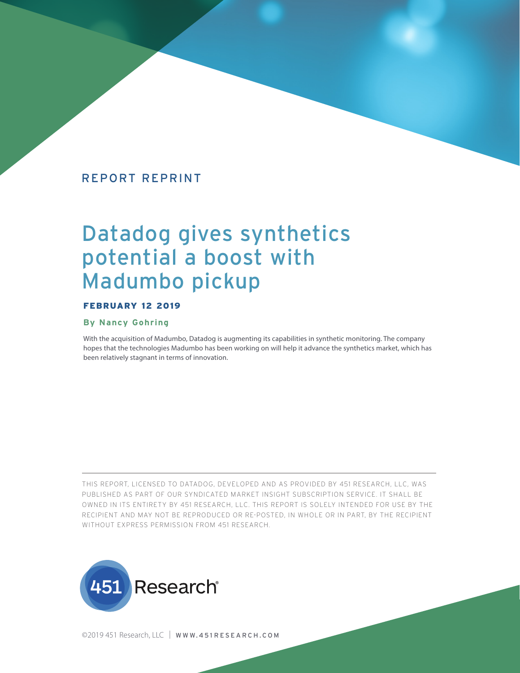## REPORT REPRINT

# Datadog gives synthetics potential a boost with Madumbo pickup

## FEBRUARY 12 2019

#### **By Nancy Gohring**

With the acquisition of Madumbo, Datadog is augmenting its capabilities in synthetic monitoring. The company hopes that the technologies Madumbo has been working on will help it advance the synthetics market, which has been relatively stagnant in terms of innovation.

THIS REPORT, LICENSED TO DATADOG, DEVELOPED AND AS PROVIDED BY 451 RESEARCH, LLC, WAS PUBLISHED AS PART OF OUR SYNDICATED MARKET INSIGHT SUBSCRIPTION SERVICE. IT SHALL BE OWNED IN ITS ENTIRETY BY 451 RESEARCH, LLC. THIS REPORT IS SOLELY INTENDED FOR USE BY THE RECIPIENT AND MAY NOT BE REPRODUCED OR RE-POSTED, IN WHOLE OR IN PART, BY THE RECIPIENT WITHOUT EXPRESS PERMISSION FROM 451 RESEARCH.



©2019 451 Research, LLC | WWW.451 RESEARCH.COM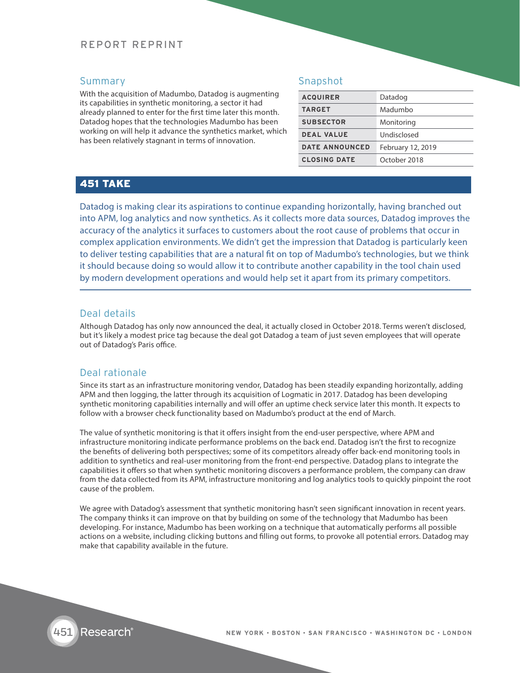## REPORT REPRINT

## Summary

With the acquisition of Madumbo, Datadog is augmenting its capabilities in synthetic monitoring, a sector it had already planned to enter for the first time later this month. Datadog hopes that the technologies Madumbo has been working on will help it advance the synthetics market, which has been relatively stagnant in terms of innovation.

## Snapshot

| <b>ACQUIRER</b>       | Datadog           |
|-----------------------|-------------------|
| <b>TARGET</b>         | Madumbo           |
| <b>SUBSECTOR</b>      | Monitoring        |
| <b>DEAL VALUE</b>     | Undisclosed       |
| <b>DATE ANNOUNCED</b> | February 12, 2019 |
| <b>CLOSING DATE</b>   | October 2018      |

# 451 TAKE

Datadog is making clear its aspirations to continue expanding horizontally, having branched out into APM, log analytics and now synthetics. As it collects more data sources, Datadog improves the accuracy of the analytics it surfaces to customers about the root cause of problems that occur in complex application environments. We didn't get the impression that Datadog is particularly keen to deliver testing capabilities that are a natural fit on top of Madumbo's technologies, but we think it should because doing so would allow it to contribute another capability in the tool chain used by modern development operations and would help set it apart from its primary competitors.

## Deal details

Although Datadog has only now announced the deal, it actually closed in October 2018. Terms weren't disclosed, but it's likely a modest price tag because the deal got Datadog a team of just seven employees that will operate out of Datadog's Paris office.

#### Deal rationale

Since its start as an infrastructure monitoring vendor, Datadog has been steadily expanding horizontally, adding APM and then logging, the latter through its acquisition of Logmatic in 2017. Datadog has been developing synthetic monitoring capabilities internally and will offer an uptime check service later this month. It expects to follow with a browser check functionality based on Madumbo's product at the end of March.

The value of synthetic monitoring is that it offers insight from the end-user perspective, where APM and infrastructure monitoring indicate performance problems on the back end. Datadog isn't the first to recognize the benefits of delivering both perspectives; some of its competitors already offer back-end monitoring tools in addition to synthetics and real-user monitoring from the front-end perspective. Datadog plans to integrate the capabilities it offers so that when synthetic monitoring discovers a performance problem, the company can draw from the data collected from its APM, infrastructure monitoring and log analytics tools to quickly pinpoint the root cause of the problem.

We agree with Datadog's assessment that synthetic monitoring hasn't seen significant innovation in recent years. The company thinks it can improve on that by building on some of the technology that Madumbo has been developing. For instance, Madumbo has been working on a technique that automatically performs all possible actions on a website, including clicking buttons and filling out forms, to provoke all potential errors. Datadog may make that capability available in the future.